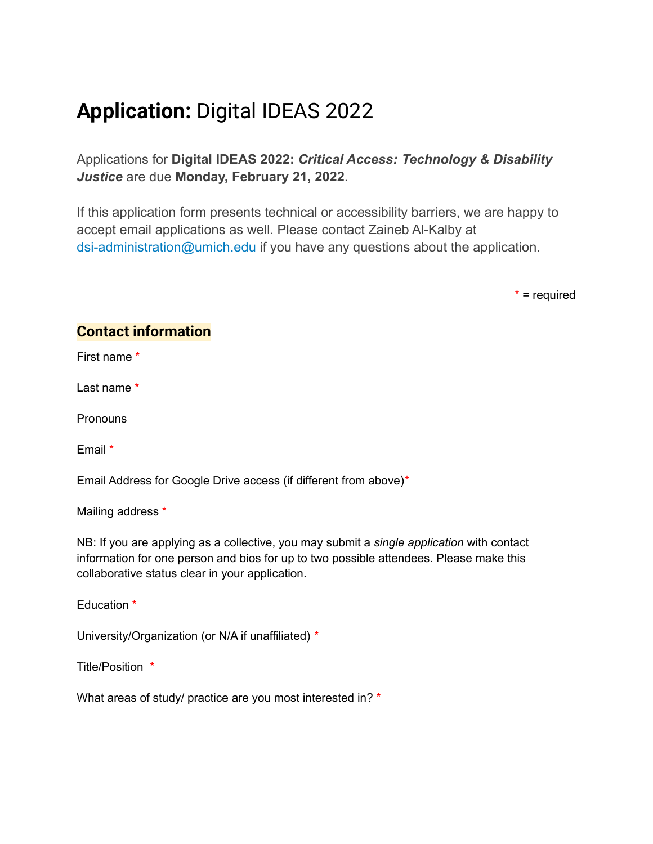## **Application:** Digital IDEAS 2022

Applications for **Digital IDEAS 2022:** *Critical Access: Technology & Disability Justice* are due **Monday, February 21, 2022**.

If this application form presents technical or accessibility barriers, we are happy to accept email applications as well. Please contact Zaineb Al-Kalby at dsi-administration@umich.edu if you have any questions about the application.

 $*$  = required

## **Contact information**

First name \*

Last name \*

**Pronouns** 

Email \*

Email Address for Google Drive access (if different from above)\*

Mailing address \*

NB: If you are applying as a collective, you may submit a *single application* with contact information for one person and bios for up to two possible attendees. Please make this collaborative status clear in your application.

Education \*

University/Organization (or N/A if unaffiliated) \*

Title/Position \*

What areas of study/ practice are you most interested in? \*